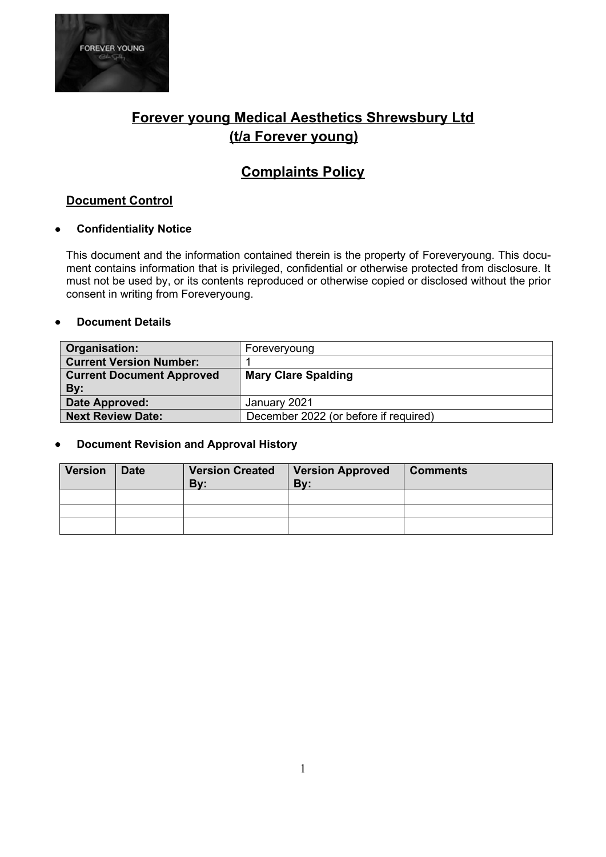

# **Forever young Medical Aesthetics Shrewsbury Ltd (t/a Forever young)**

# **Complaints Policy**

### **Document Control**

#### **Confidentiality Notice**

This document and the information contained therein is the property of Foreveryoung. This document contains information that is privileged, confidential or otherwise protected from disclosure. It must not be used by, or its contents reproduced or otherwise copied or disclosed without the prior consent in writing from Foreveryoung.

#### **Document Details**

| Organisation:                    | Foreveryoung                          |  |
|----------------------------------|---------------------------------------|--|
| <b>Current Version Number:</b>   |                                       |  |
| <b>Current Document Approved</b> | <b>Mary Clare Spalding</b>            |  |
| By:                              |                                       |  |
| Date Approved:                   | January 2021                          |  |
| <b>Next Review Date:</b>         | December 2022 (or before if required) |  |

#### **Document Revision and Approval History**

| <b>Version</b> | <b>Date</b> | <b>Version Created</b><br>Bv: | <b>Version Approved</b><br>By: | <b>Comments</b> |
|----------------|-------------|-------------------------------|--------------------------------|-----------------|
|                |             |                               |                                |                 |
|                |             |                               |                                |                 |
|                |             |                               |                                |                 |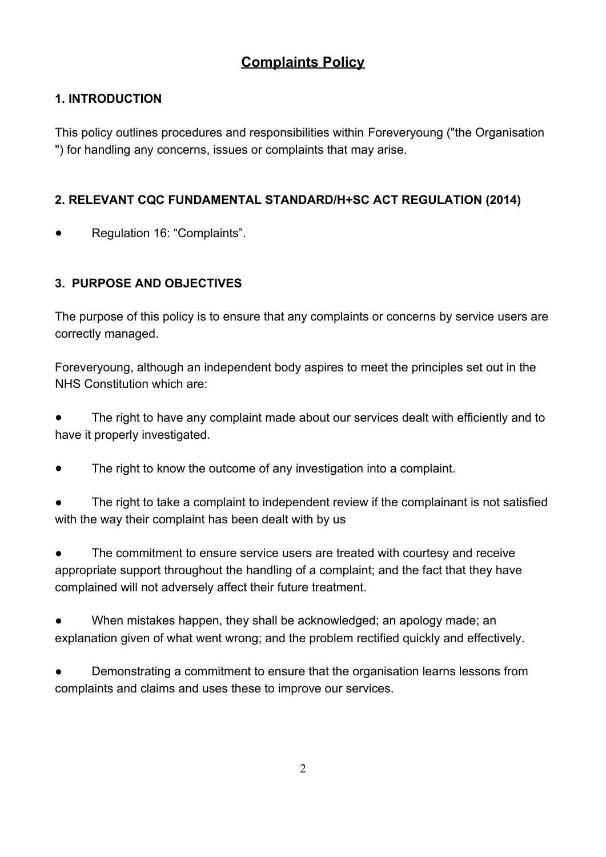# **Complaints Policy**

# **1. INTRODUCTION**

This policy outlines procedures and responsibilities within Foreveryoung ("the Organisation ") for handling any concerns, issues or complaints that may arise.

## **2. RELEVANT CQC FUNDAMENTAL STANDARD/H+SC ACT REGULATION (2014)**

Regulation 16: "Complaints".

## **3. PURPOSE AND OBJECTIVES**

The purpose of this policy is to ensure that any complaints or concerns by service users are correctly managed.

Foreveryoung, although an independent body aspires to meet the principles set out in the NHS Constitution which are:

The right to have any complaint made about our services dealt with efficiently and to have it properly investigated.

The right to know the outcome of any investigation into a complaint.

The right to take a complaint to independent review if the complainant is not satisfied with the way their complaint has been dealt with by us

The commitment to ensure service users are treated with courtesy and receive appropriate support throughout the handling of a complaint; and the fact that they have complained will not adversely affect their future treatment.

When mistakes happen, they shall be acknowledged; an apology made; an explanation given of what went wrong; and the problem rectified quickly and effectively.

Demonstrating a commitment to ensure that the organisation learns lessons from complaints and claims and uses these to improve our services.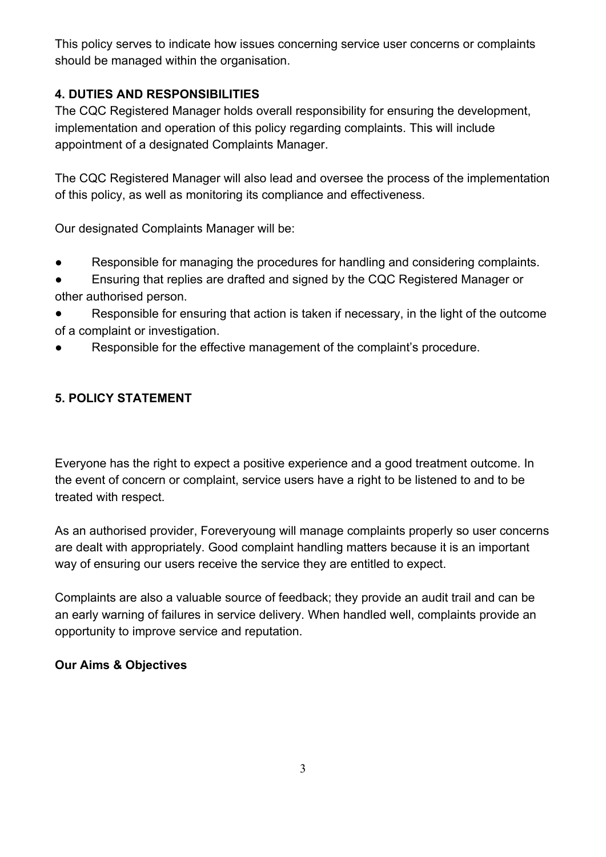This policy serves to indicate how issues concerning service user concerns or complaints should be managed within the organisation.

# **4. DUTIES AND RESPONSIBILITIES**

The CQC Registered Manager holds overall responsibility for ensuring the development, implementation and operation of this policy regarding complaints. This will include appointment of a designated Complaints Manager.

The CQC Registered Manager will also lead and oversee the process of the implementation of this policy, as well as monitoring its compliance and effectiveness.

Our designated Complaints Manager will be:

- Responsible for managing the procedures for handling and considering complaints.
- Ensuring that replies are drafted and signed by the CQC Registered Manager or other authorised person.
- Responsible for ensuring that action is taken if necessary, in the light of the outcome of a complaint or investigation.
- Responsible for the effective management of the complaint's procedure.

## **5. POLICY STATEMENT**

Everyone has the right to expect a positive experience and a good treatment outcome. In the event of concern or complaint, service users have a right to be listened to and to be treated with respect.

As an authorised provider, Foreveryoung will manage complaints properly so user concerns are dealt with appropriately. Good complaint handling matters because it is an important way of ensuring our users receive the service they are entitled to expect.

Complaints are also a valuable source of feedback; they provide an audit trail and can be an early warning of failures in service delivery. When handled well, complaints provide an opportunity to improve service and reputation.

### **Our Aims & Objectives**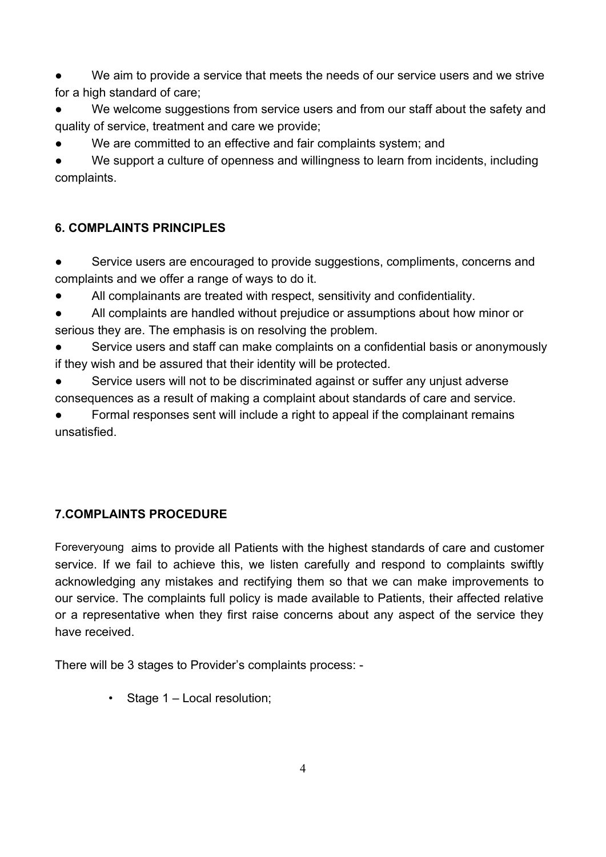We aim to provide a service that meets the needs of our service users and we strive for a high standard of care;

We welcome suggestions from service users and from our staff about the safety and quality of service, treatment and care we provide;

We are committed to an effective and fair complaints system; and

We support a culture of openness and willingness to learn from incidents, including complaints.

# **6. COMPLAINTS PRINCIPLES**

- Service users are encouraged to provide suggestions, compliments, concerns and complaints and we offer a range of ways to do it.
- All complainants are treated with respect, sensitivity and confidentiality.
- All complaints are handled without prejudice or assumptions about how minor or serious they are. The emphasis is on resolving the problem.
- Service users and staff can make complaints on a confidential basis or anonymously if they wish and be assured that their identity will be protected.
- Service users will not to be discriminated against or suffer any unjust adverse consequences as a result of making a complaint about standards of care and service.

Formal responses sent will include a right to appeal if the complainant remains unsatisfied.

# **7.COMPLAINTS PROCEDURE**

Foreveryoung aims to provide all Patients with the highest standards of care and customer service. If we fail to achieve this, we listen carefully and respond to complaints swiftly acknowledging any mistakes and rectifying them so that we can make improvements to our service. The complaints full policy is made available to Patients, their affected relative or a representative when they first raise concerns about any aspect of the service they have received.

There will be 3 stages to Provider's complaints process: -

• Stage 1 – Local resolution;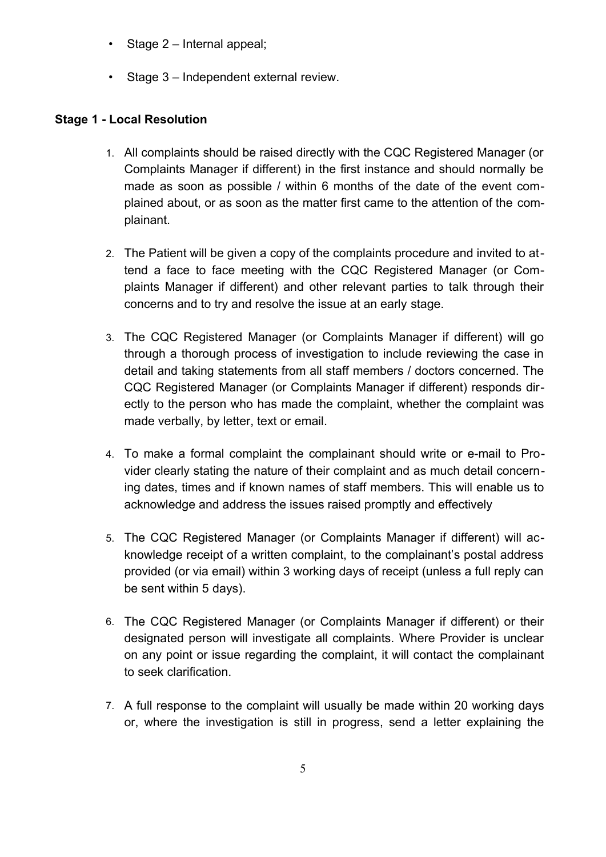- Stage 2 Internal appeal;
- Stage 3 Independent external review.

### **Stage 1 - Local Resolution**

- 1. All complaints should be raised directly with the CQC Registered Manager (or Complaints Manager if different) in the first instance and should normally be made as soon as possible / within 6 months of the date of the event complained about, or as soon as the matter first came to the attention of the complainant.
- 2. The Patient will be given a copy of the complaints procedure and invited to attend a face to face meeting with the CQC Registered Manager (or Complaints Manager if different) and other relevant parties to talk through their concerns and to try and resolve the issue at an early stage.
- 3. The CQC Registered Manager (or Complaints Manager if different) will go through a thorough process of investigation to include reviewing the case in detail and taking statements from all staff members / doctors concerned. The CQC Registered Manager (or Complaints Manager if different) responds directly to the person who has made the complaint, whether the complaint was made verbally, by letter, text or email.
- 4. To make a formal complaint the complainant should write or e-mail to Provider clearly stating the nature of their complaint and as much detail concerning dates, times and if known names of staff members. This will enable us to acknowledge and address the issues raised promptly and effectively
- 5. The CQC Registered Manager (or Complaints Manager if different) will acknowledge receipt of a written complaint, to the complainant's postal address provided (or via email) within 3 working days of receipt (unless a full reply can be sent within 5 days).
- 6. The CQC Registered Manager (or Complaints Manager if different) or their designated person will investigate all complaints. Where Provider is unclear on any point or issue regarding the complaint, it will contact the complainant to seek clarification.
- 7. A full response to the complaint will usually be made within 20 working days or, where the investigation is still in progress, send a letter explaining the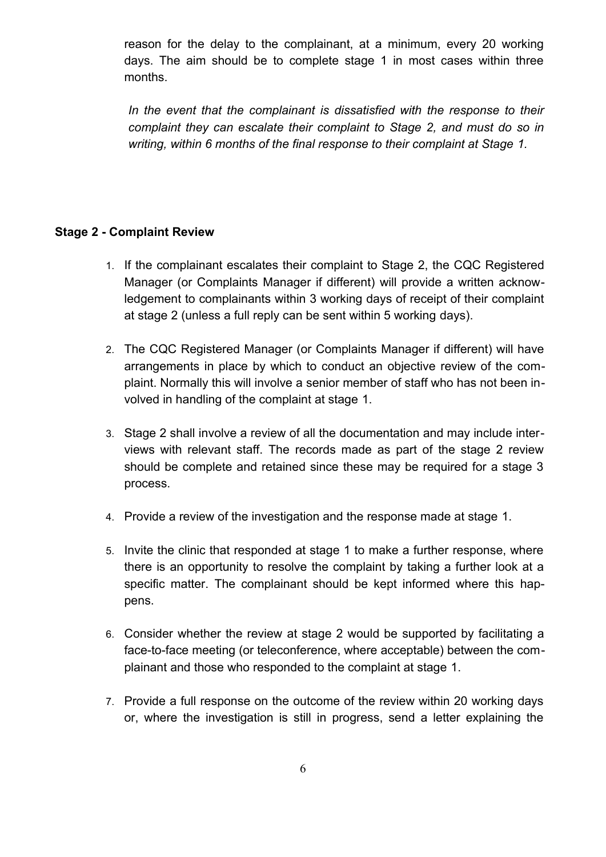reason for the delay to the complainant, at a minimum, every 20 working days. The aim should be to complete stage 1 in most cases within three months.

*In the event that the complainant is dissatisfied with the response to their complaint they can escalate their complaint to Stage 2, and must do so in writing, within 6 months of the final response to their complaint at Stage 1.*

#### **Stage 2 - Complaint Review**

- 1. If the complainant escalates their complaint to Stage 2, the CQC Registered Manager (or Complaints Manager if different) will provide a written acknowledgement to complainants within 3 working days of receipt of their complaint at stage 2 (unless a full reply can be sent within 5 working days).
- 2. The CQC Registered Manager (or Complaints Manager if different) will have arrangements in place by which to conduct an objective review of the complaint. Normally this will involve a senior member of staff who has not been involved in handling of the complaint at stage 1.
- 3. Stage 2 shall involve a review of all the documentation and may include interviews with relevant staff. The records made as part of the stage 2 review should be complete and retained since these may be required for a stage 3 process.
- 4. Provide a review of the investigation and the response made at stage 1.
- 5. Invite the clinic that responded at stage 1 to make a further response, where there is an opportunity to resolve the complaint by taking a further look at a specific matter. The complainant should be kept informed where this happens.
- 6. Consider whether the review at stage 2 would be supported by facilitating a face-to-face meeting (or teleconference, where acceptable) between the complainant and those who responded to the complaint at stage 1.
- 7. Provide a full response on the outcome of the review within 20 working days or, where the investigation is still in progress, send a letter explaining the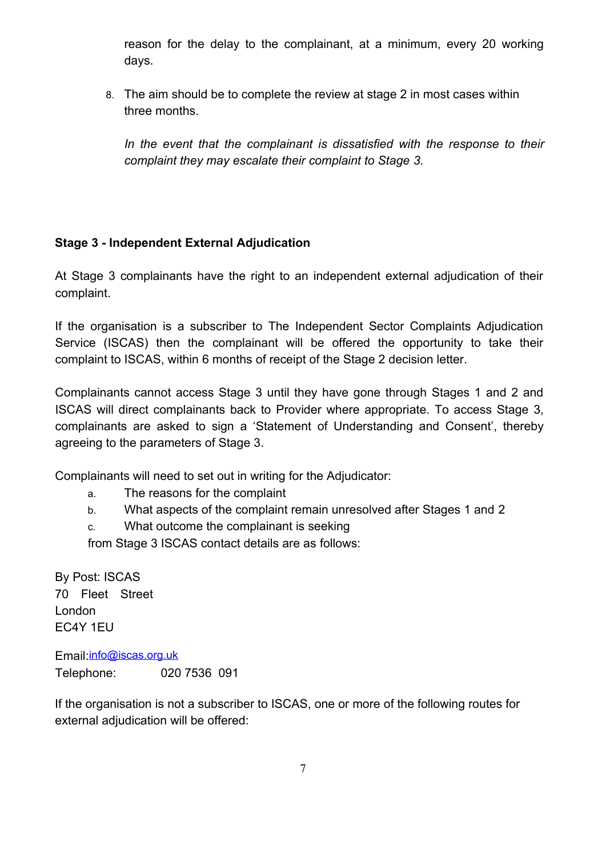reason for the delay to the complainant, at a minimum, every 20 working days.

8. The aim should be to complete the review at stage 2 in most cases within three months.

*In the event that the complainant is dissatisfied with the response to their complaint they may escalate their complaint to Stage 3.*

## **Stage 3 - Independent External Adjudication**

At Stage 3 complainants have the right to an independent external adjudication of their complaint.

If the organisation is a subscriber to The Independent Sector Complaints Adjudication Service (ISCAS) then the complainant will be offered the opportunity to take their complaint to ISCAS, within 6 months of receipt of the Stage 2 decision letter.

Complainants cannot access Stage 3 until they have gone through Stages 1 and 2 and ISCAS will direct complainants back to Provider where appropriate. To access Stage 3, complainants are asked to sign a 'Statement of Understanding and Consent', thereby agreeing to the parameters of Stage 3.

Complainants will need to set out in writing for the Adjudicator:

- a. The reasons for the complaint
- b. What aspects of the complaint remain unresolved after Stages 1 and 2
- c. What outcome the complainant is seeking

from Stage 3 ISCAS contact details are as follows:

By Post: ISCAS 70 Fleet Street London EC4Y 1EU

Email: [info@iscas.org.uk](mailto:info@iscas.org.uk) Telephone: 020 7536 091

If the organisation is not a subscriber to ISCAS, one or more of the following routes for external adjudication will be offered: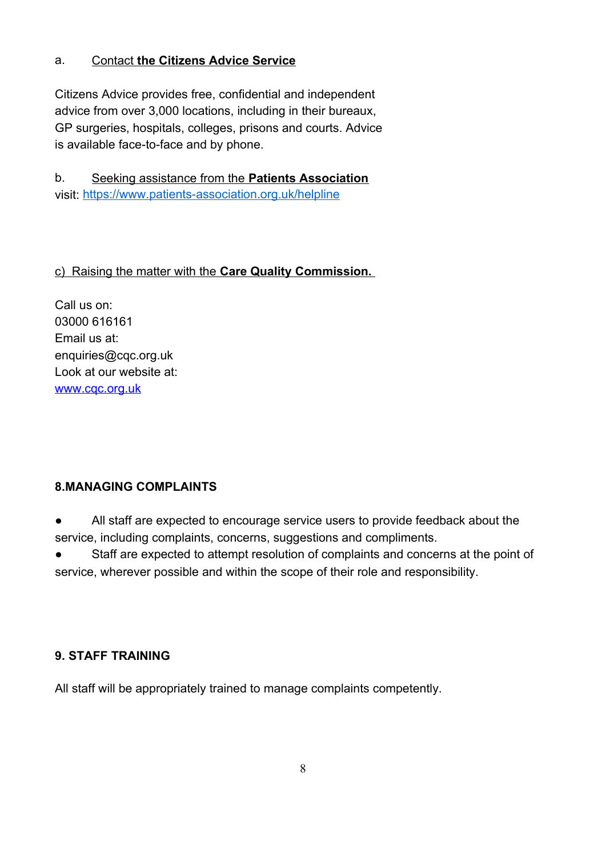### a. Contact **the Citizens Advice Service**

Citizens Advice provides free, confidential and independent advice from over 3,000 locations, including in their bureaux, GP surgeries, hospitals, colleges, prisons and courts. Advice is available face-to-face and by phone.

b. Seeking assistance from the **Patients Association** visit:<https://www.patients-association.org.uk/helpline>

## c) Raising the matter with the **Care Quality Commission.**

Call us on: 03000 616161 Email us at: enquiries@cqc.org.uk Look at our website at: [www.cqc.org.uk](http://www.cqc.org.uk/)

### **8.MANAGING COMPLAINTS**

All staff are expected to encourage service users to provide feedback about the service, including complaints, concerns, suggestions and compliments.

Staff are expected to attempt resolution of complaints and concerns at the point of service, wherever possible and within the scope of their role and responsibility.

### **9. STAFF TRAINING**

All staff will be appropriately trained to manage complaints competently.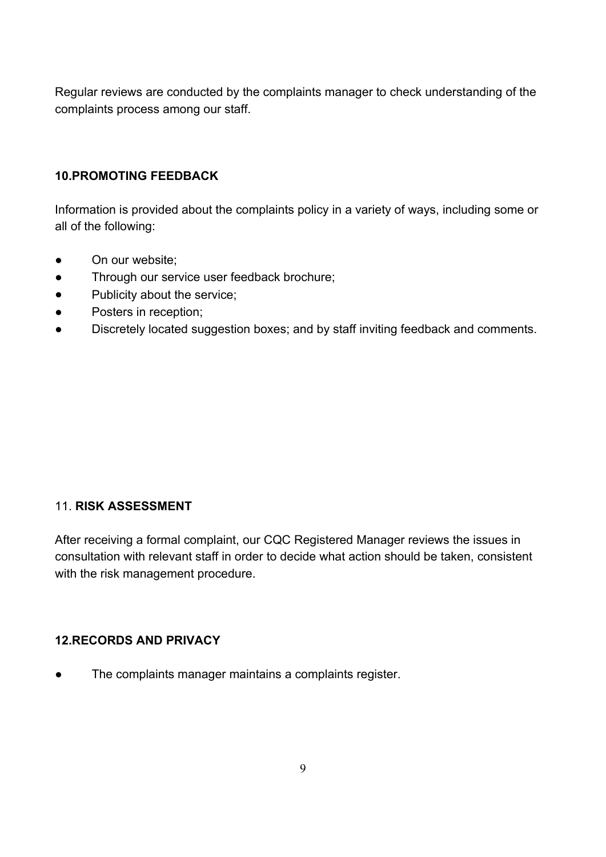Regular reviews are conducted by the complaints manager to check understanding of the complaints process among our staff.

# **10.PROMOTING FEEDBACK**

Information is provided about the complaints policy in a variety of ways, including some or all of the following:

- On our website;
- Through our service user feedback brochure;
- Publicity about the service;
- Posters in reception;
- Discretely located suggestion boxes; and by staff inviting feedback and comments.

### 11. **RISK ASSESSMENT**

After receiving a formal complaint, our CQC Registered Manager reviews the issues in consultation with relevant staff in order to decide what action should be taken, consistent with the risk management procedure.

### **12.RECORDS AND PRIVACY**

● The complaints manager maintains a complaints register.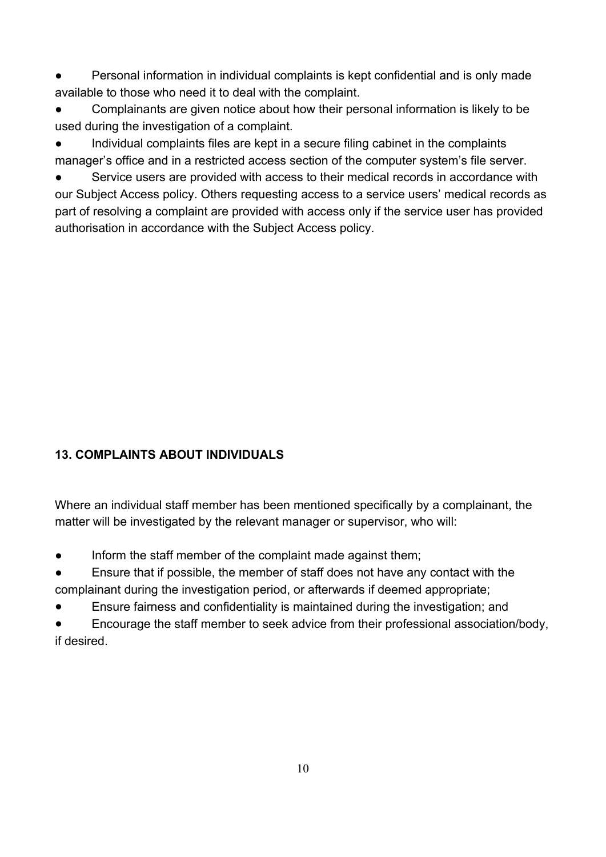Personal information in individual complaints is kept confidential and is only made available to those who need it to deal with the complaint.

- Complainants are given notice about how their personal information is likely to be used during the investigation of a complaint.
- Individual complaints files are kept in a secure filing cabinet in the complaints manager's office and in a restricted access section of the computer system's file server.

Service users are provided with access to their medical records in accordance with our Subject Access policy. Others requesting access to a service users' medical records as part of resolving a complaint are provided with access only if the service user has provided authorisation in accordance with the Subject Access policy.

# **13. COMPLAINTS ABOUT INDIVIDUALS**

Where an individual staff member has been mentioned specifically by a complainant, the matter will be investigated by the relevant manager or supervisor, who will:

- Inform the staff member of the complaint made against them;
- Ensure that if possible, the member of staff does not have any contact with the complainant during the investigation period, or afterwards if deemed appropriate;
- Ensure fairness and confidentiality is maintained during the investigation; and
- Encourage the staff member to seek advice from their professional association/body, if desired.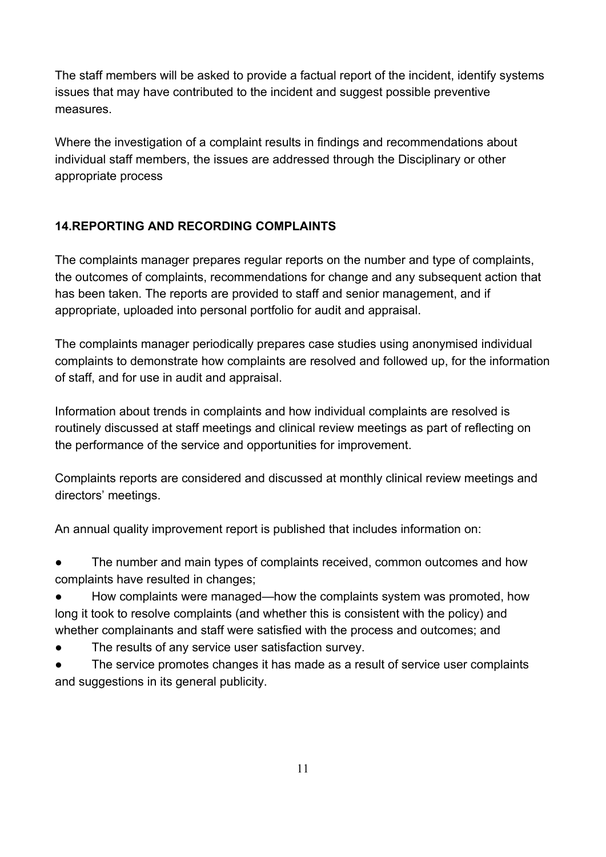The staff members will be asked to provide a factual report of the incident, identify systems issues that may have contributed to the incident and suggest possible preventive measures.

Where the investigation of a complaint results in findings and recommendations about individual staff members, the issues are addressed through the Disciplinary or other appropriate process

# **14.REPORTING AND RECORDING COMPLAINTS**

The complaints manager prepares regular reports on the number and type of complaints, the outcomes of complaints, recommendations for change and any subsequent action that has been taken. The reports are provided to staff and senior management, and if appropriate, uploaded into personal portfolio for audit and appraisal.

The complaints manager periodically prepares case studies using anonymised individual complaints to demonstrate how complaints are resolved and followed up, for the information of staff, and for use in audit and appraisal.

Information about trends in complaints and how individual complaints are resolved is routinely discussed at staff meetings and clinical review meetings as part of reflecting on the performance of the service and opportunities for improvement.

Complaints reports are considered and discussed at monthly clinical review meetings and directors' meetings.

An annual quality improvement report is published that includes information on:

The number and main types of complaints received, common outcomes and how complaints have resulted in changes;

● How complaints were managed—how the complaints system was promoted, how long it took to resolve complaints (and whether this is consistent with the policy) and whether complainants and staff were satisfied with the process and outcomes; and

- The results of any service user satisfaction survey.
- The service promotes changes it has made as a result of service user complaints and suggestions in its general publicity.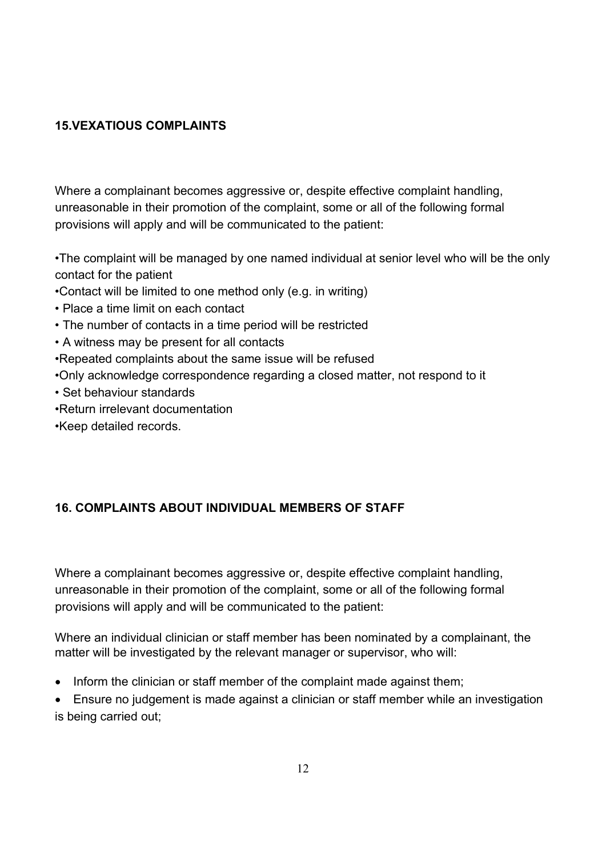### **15.VEXATIOUS COMPLAINTS**

Where a complainant becomes aggressive or, despite effective complaint handling, unreasonable in their promotion of the complaint, some or all of the following formal provisions will apply and will be communicated to the patient:

•The complaint will be managed by one named individual at senior level who will be the only contact for the patient

- •Contact will be limited to one method only (e.g. in writing)
- Place a time limit on each contact
- The number of contacts in a time period will be restricted
- A witness may be present for all contacts

•Repeated complaints about the same issue will be refused

•Only acknowledge correspondence regarding a closed matter, not respond to it

- Set behaviour standards
- •Return irrelevant documentation

•Keep detailed records.

# **16. COMPLAINTS ABOUT INDIVIDUAL MEMBERS OF STAFF**

Where a complainant becomes aggressive or, despite effective complaint handling, unreasonable in their promotion of the complaint, some or all of the following formal provisions will apply and will be communicated to the patient:

Where an individual clinician or staff member has been nominated by a complainant, the matter will be investigated by the relevant manager or supervisor, who will:

• Inform the clinician or staff member of the complaint made against them;

 Ensure no judgement is made against a clinician or staff member while an investigation is being carried out;